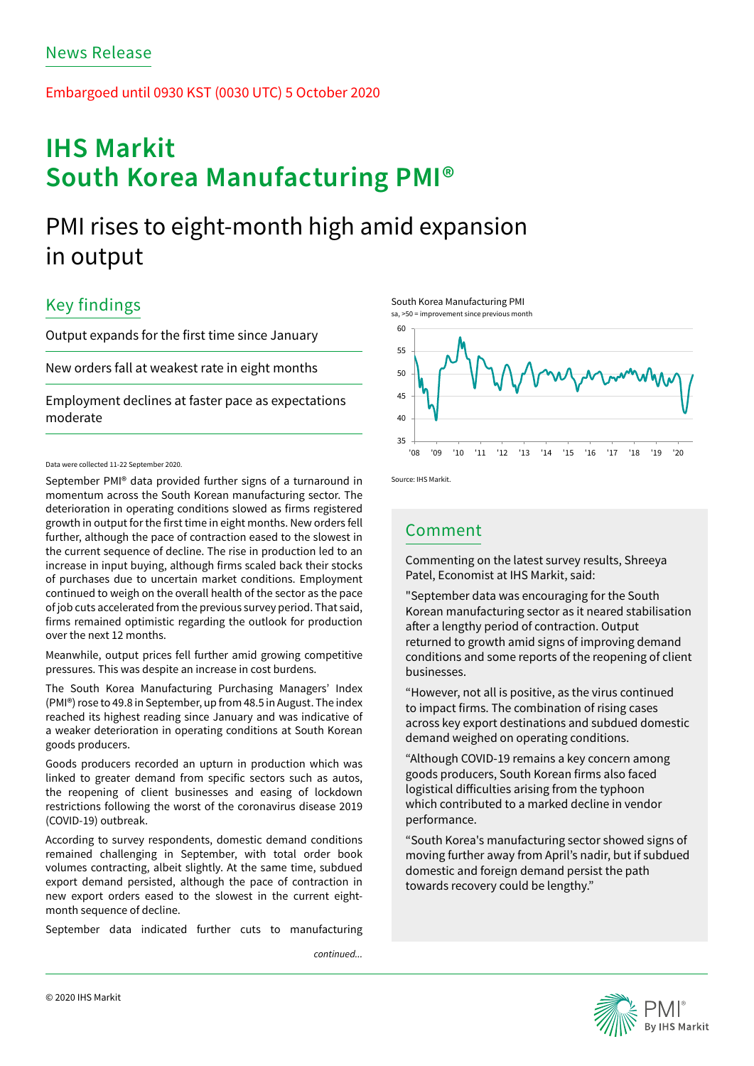Embargoed until 0930 KST (0030 UTC) 5 October 2020

# **IHS Markit South Korea Manufacturing PMI®**

## PMI rises to eight-month high amid expansion in output

## Key findings

Output expands for the first time since January

New orders fall at weakest rate in eight months

Employment declines at faster pace as expectations moderate

### Data were collected 11-22 September 2020.

September PMI® data provided further signs of a turnaround in momentum across the South Korean manufacturing sector. The deterioration in operating conditions slowed as firms registered growth in output for the first time in eight months. New orders fell further, although the pace of contraction eased to the slowest in the current sequence of decline. The rise in production led to an increase in input buying, although firms scaled back their stocks of purchases due to uncertain market conditions. Employment continued to weigh on the overall health of the sector as the pace of job cuts accelerated from the previous survey period. That said, firms remained optimistic regarding the outlook for production over the next 12 months.

Meanwhile, output prices fell further amid growing competitive pressures. This was despite an increase in cost burdens.

The South Korea Manufacturing Purchasing Managers' Index (PMI®) rose to 49.8 in September, up from 48.5 in August. The index reached its highest reading since January and was indicative of a weaker deterioration in operating conditions at South Korean goods producers.

Goods producers recorded an upturn in production which was linked to greater demand from specific sectors such as autos, the reopening of client businesses and easing of lockdown restrictions following the worst of the coronavirus disease 2019 (COVID-19) outbreak.

According to survey respondents, domestic demand conditions remained challenging in September, with total order book volumes contracting, albeit slightly. At the same time, subdued export demand persisted, although the pace of contraction in new export orders eased to the slowest in the current eightmonth sequence of decline.

September data indicated further cuts to manufacturing

*continued...*







Source: IHS Markit.

### Comment

Commenting on the latest survey results, Shreeya Patel, Economist at IHS Markit, said:

"September data was encouraging for the South Korean manufacturing sector as it neared stabilisation after a lengthy period of contraction. Output returned to growth amid signs of improving demand conditions and some reports of the reopening of client businesses.

"However, not all is positive, as the virus continued to impact firms. The combination of rising cases across key export destinations and subdued domestic demand weighed on operating conditions.

"Although COVID-19 remains a key concern among goods producers, South Korean firms also faced logistical difficulties arising from the typhoon which contributed to a marked decline in vendor performance.

"South Korea's manufacturing sector showed signs of moving further away from April's nadir, but if subdued domestic and foreign demand persist the path towards recovery could be lengthy."